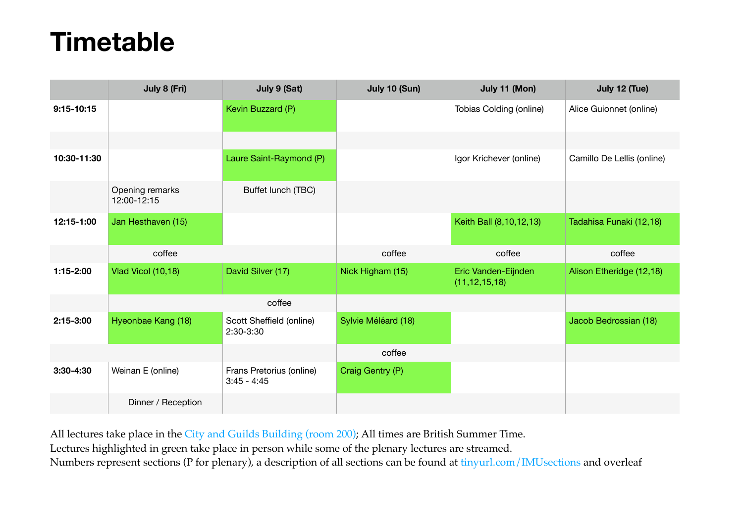## **Timetable**

|                | July 8 (Fri)                   | July 9 (Sat)                              | July 10 (Sun)       | July 11 (Mon)                           | July 12 (Tue)              |
|----------------|--------------------------------|-------------------------------------------|---------------------|-----------------------------------------|----------------------------|
| $9:15 - 10:15$ |                                | Kevin Buzzard (P)                         |                     | Tobias Colding (online)                 | Alice Guionnet (online)    |
|                |                                |                                           |                     |                                         |                            |
| 10:30-11:30    |                                | Laure Saint-Raymond (P)                   |                     | Igor Krichever (online)                 | Camillo De Lellis (online) |
|                | Opening remarks<br>12:00-12:15 | Buffet lunch (TBC)                        |                     |                                         |                            |
| 12:15-1:00     | Jan Hesthaven (15)             |                                           |                     | Keith Ball (8,10,12,13)                 | Tadahisa Funaki (12,18)    |
|                | coffee                         |                                           | coffee              | coffee                                  | coffee                     |
|                |                                |                                           |                     |                                         |                            |
| 1:15-2:00      | Vlad Vicol (10,18)             | David Silver (17)                         | Nick Higham (15)    | Eric Vanden-Eijnden<br>(11, 12, 15, 18) | Alison Etheridge (12,18)   |
|                |                                | coffee                                    |                     |                                         |                            |
| 2:15-3:00      | Hyeonbae Kang (18)             | Scott Sheffield (online)<br>2:30-3:30     | Sylvie Méléard (18) |                                         | Jacob Bedrossian (18)      |
|                |                                |                                           | coffee              |                                         |                            |
| $3:30-4:30$    | Weinan E (online)              | Frans Pretorius (online)<br>$3:45 - 4:45$ | Craig Gentry (P)    |                                         |                            |

All lectures take place in the [City and Guilds Building \(room 200\)](https://www.imperial.ac.uk/engineering/study/current/teaching-spaces/cagb-200/); All times are British Summer Time. Lectures highlighted in green take place in person while some of the plenary lectures are streamed. Numbers represent sections (P for plenary), a description of all sections can be found at [tinyurl.com/IMUsections](https://tinyurl.com/IMUsections) and overleaf